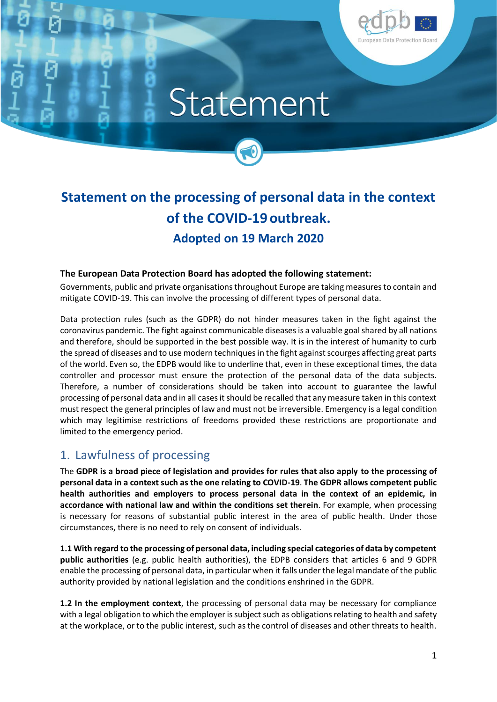

# Statement



#### **The European Data Protection Board has adopted the following statement:**

Governments, public and private organisations throughout Europe are taking measures to contain and mitigate COVID-19. This can involve the processing of different types of personal data.

Data protection rules (such as the GDPR) do not hinder measures taken in the fight against the coronavirus pandemic. The fight against communicable diseases is a valuable goal shared by all nations and therefore, should be supported in the best possible way. It is in the interest of humanity to curb the spread of diseases and to use modern techniques in the fight against scourges affecting great parts of the world. Even so, the EDPB would like to underline that, even in these exceptional times, the data controller and processor must ensure the protection of the personal data of the data subjects. Therefore, a number of considerations should be taken into account to guarantee the lawful processing of personal data and in all cases it should be recalled that any measure taken in this context must respect the general principles of law and must not be irreversible. Emergency is a legal condition which may legitimise restrictions of freedoms provided these restrictions are proportionate and limited to the emergency period.

## 1. Lawfulness of processing

The **GDPR is a broad piece of legislation and provides for rules that also apply to the processing of personal data in a context such as the one relating to COVID-19**. **The GDPR allows competent public health authorities and employers to process personal data in the context of an epidemic, in accordance with national law and within the conditions set therein**. For example, when processing is necessary for reasons of substantial public interest in the area of public health. Under those circumstances, there is no need to rely on consent of individuals.

**1.1 With regard to the processing of personal data, including special categories of data by competent public authorities** (e.g. public health authorities), the EDPB considers that articles 6 and 9 GDPR enable the processing of personal data, in particular when it falls under the legal mandate of the public authority provided by national legislation and the conditions enshrined in the GDPR.

**1.2 In the employment context**, the processing of personal data may be necessary for compliance with a legal obligation to which the employer is subject such as obligations relating to health and safety at the workplace, or to the public interest, such as the control of diseases and other threats to health.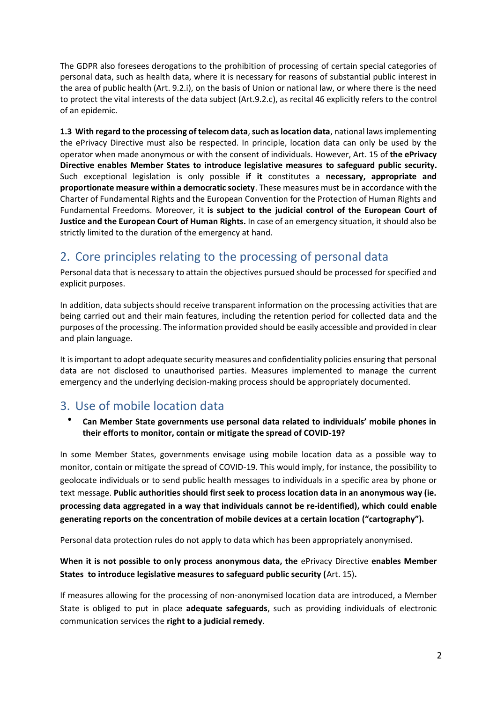The GDPR also foresees derogations to the prohibition of processing of certain special categories of personal data, such as health data, where it is necessary for reasons of substantial public interest in the area of public health (Art. 9.2.i), on the basis of Union or national law, or where there is the need to protect the vital interests of the data subject (Art.9.2.c), as recital 46 explicitly refers to the control of an epidemic.

**1.3 With regard to the processing of telecom data**, **such as location data**, national laws implementing the ePrivacy Directive must also be respected. In principle, location data can only be used by the operator when made anonymous or with the consent of individuals. However, Art. 15 of **the ePrivacy Directive enables Member States to introduce legislative measures to safeguard public security.** Such exceptional legislation is only possible **if it** constitutes a **necessary, appropriate and proportionate measure within a democratic society**. These measures must be in accordance with the Charter of Fundamental Rights and the European Convention for the Protection of Human Rights and Fundamental Freedoms. Moreover, it **is subject to the judicial control of the European Court of Justice and the European Court of Human Rights.** In case of an emergency situation, it should also be strictly limited to the duration of the emergency at hand.

## 2. Core principles relating to the processing of personal data

Personal data that is necessary to attain the objectives pursued should be processed for specified and explicit purposes.

In addition, data subjects should receive transparent information on the processing activities that are being carried out and their main features, including the retention period for collected data and the purposes of the processing. The information provided should be easily accessible and provided in clear and plain language.

It isimportant to adopt adequate security measures and confidentiality policies ensuring that personal data are not disclosed to unauthorised parties. Measures implemented to manage the current emergency and the underlying decision-making process should be appropriately documented.

## 3. Use of mobile location data

#### • **Can Member State governments use personal data related to individuals' mobile phones in their efforts to monitor, contain or mitigate the spread of COVID-19?**

In some Member States, governments envisage using mobile location data as a possible way to monitor, contain or mitigate the spread of COVID-19. This would imply, for instance, the possibility to geolocate individuals or to send public health messages to individuals in a specific area by phone or text message. **Public authorities should first seek to process location data in an anonymous way (ie. processing data aggregated in a way that individuals cannot be re-identified), which could enable generating reports on the concentration of mobile devices at a certain location ("cartography").** 

Personal data protection rules do not apply to data which has been appropriately anonymised.

### **When it is not possible to only process anonymous data, the** ePrivacy Directive **enables Member States to introduce legislative measures to safeguard public security (**Art. 15)**.**

If measures allowing for the processing of non-anonymised location data are introduced, a Member State is obliged to put in place **adequate safeguards**, such as providing individuals of electronic communication services the **right to a judicial remedy**.